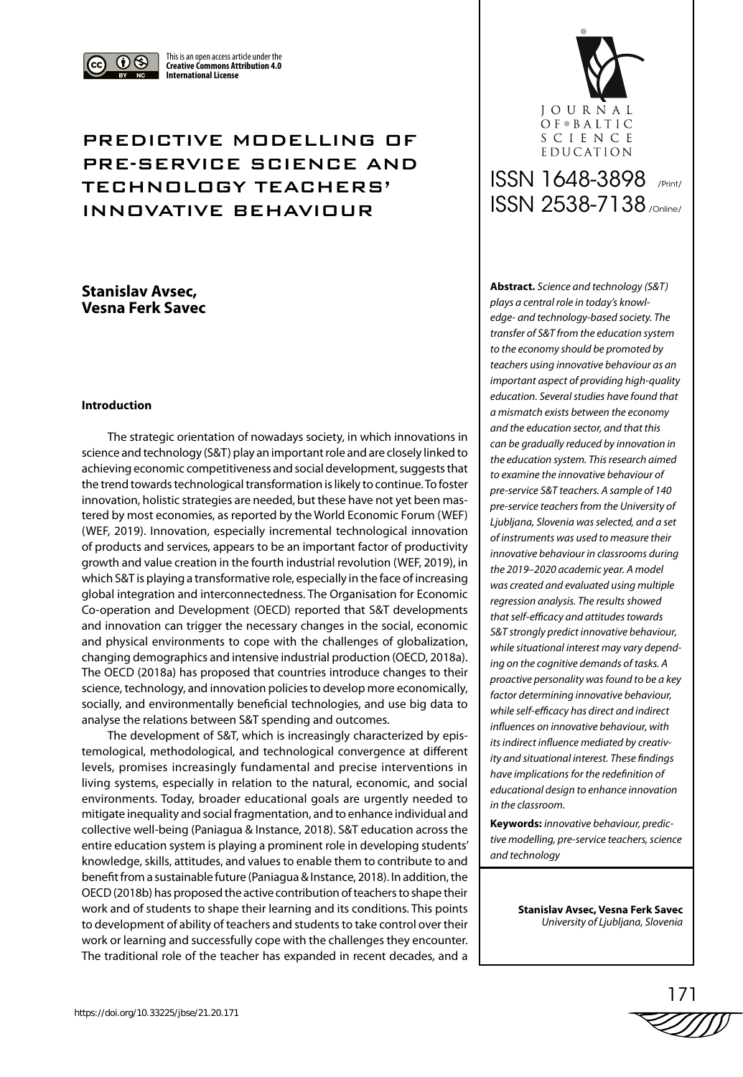

This is an open access article under the **Creative Commons Attribution 4.0 International License**

## PREDICTIVE MODELLING OF PRE-SERVICE SCIENCE AND TECHNOLOGY TEACHERS' INNOVATIVE BEHAVIOUR

## **Stanislav Avsec, Vesna Ferk Savec**

#### **Introduction**

The strategic orientation of nowadays society, in which innovations in science and technology (S&T) play an important role and are closely linked to achieving economic competitiveness and social development, suggests that the trend towards technological transformation is likely to continue. To foster innovation, holistic strategies are needed, but these have not yet been mastered by most economies, as reported by the World Economic Forum (WEF) (WEF, 2019). Innovation, especially incremental technological innovation of products and services, appears to be an important factor of productivity growth and value creation in the fourth industrial revolution (WEF, 2019), in which S&T is playing a transformative role, especially in the face of increasing global integration and interconnectedness. The Organisation for Economic Co-operation and Development (OECD) reported that S&T developments and innovation can trigger the necessary changes in the social, economic and physical environments to cope with the challenges of globalization, changing demographics and intensive industrial production (OECD, 2018a). The OECD (2018a) has proposed that countries introduce changes to their science, technology, and innovation policies to develop more economically, socially, and environmentally beneficial technologies, and use big data to analyse the relations between S&T spending and outcomes.

The development of S&T, which is increasingly characterized by epistemological, methodological, and technological convergence at different levels, promises increasingly fundamental and precise interventions in living systems, especially in relation to the natural, economic, and social environments. Today, broader educational goals are urgently needed to mitigate inequality and social fragmentation, and to enhance individual and collective well-being (Paniagua & Instance, 2018). S&T education across the entire education system is playing a prominent role in developing students' knowledge, skills, attitudes, and values to enable them to contribute to and benefit from a sustainable future (Paniagua & Instance, 2018). In addition, the OECD (2018b) has proposed the active contribution of teachers to shape their work and of students to shape their learning and its conditions. This points to development of ability of teachers and students to take control over their work or learning and successfully cope with the challenges they encounter. The traditional role of the teacher has expanded in recent decades, and a



# ISSN 1648-3898 /Print/ ISSN 2538-7138 /Online/

**Abstract.** *Science and technology (S&T) plays a central role in today's knowledge- and technology-based society. The transfer of S&T from the education system to the economy should be promoted by teachers using innovative behaviour as an important aspect of providing high-quality education. Several studies have found that a mismatch exists between the economy and the education sector, and that this can be gradually reduced by innovation in the education system. This research aimed to examine the innovative behaviour of pre-service S&T teachers. A sample of 140 pre-service teachers from the University of Ljubljana, Slovenia was selected, and a set of instruments was used to measure their innovative behaviour in classrooms during the 2019–2020 academic year. A model was created and evaluated using multiple regression analysis. The results showed that self-efficacy and attitudes towards S&T strongly predict innovative behaviour, while situational interest may vary depending on the cognitive demands of tasks. A proactive personality was found to be a key factor determining innovative behaviour, while self-efficacy has direct and indirect influences on innovative behaviour, with its indirect influence mediated by creativity and situational interest. These findings have implications for the redefinition of educational design to enhance innovation in the classroom.* 

**Keywords:** *innovative behaviour, predictive modelling, pre-service teachers, science and technology*

> **Stanislav Avsec, Vesna Ferk Savec** *University of Ljubljana, Slovenia*

$$
\overset{171}{\text{W}}\overset{171}{\text{W}}
$$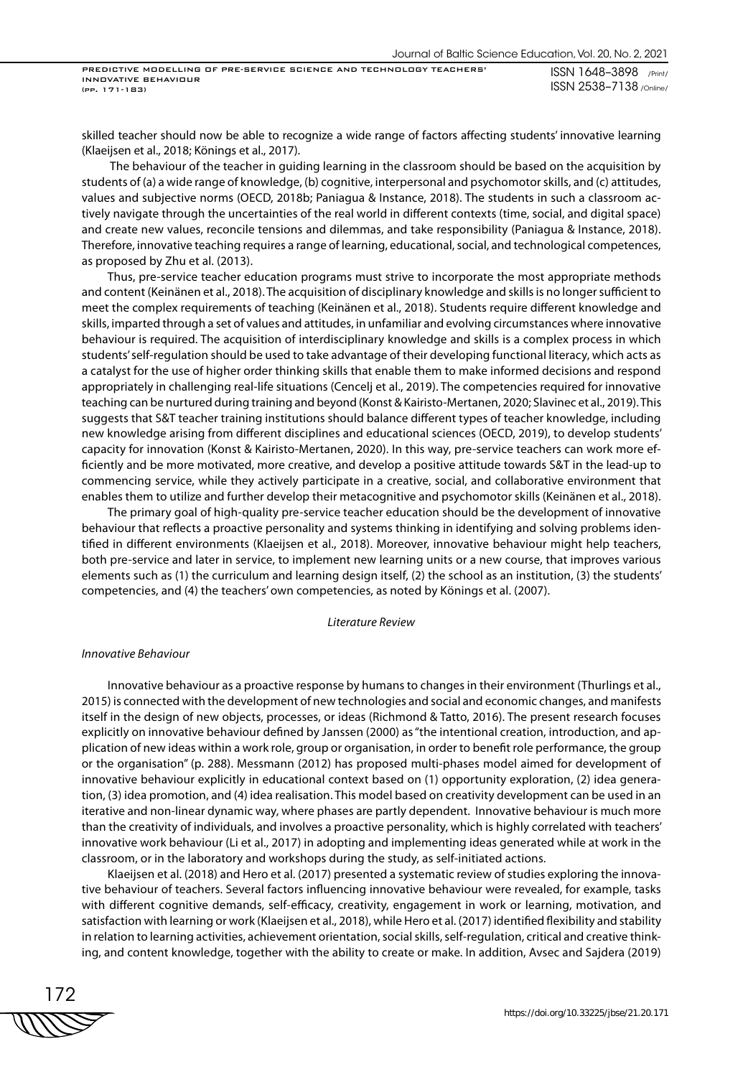skilled teacher should now be able to recognize a wide range of factors affecting students' innovative learning (Klaeijsen et al., 2018; Könings et al., 2017).

 The behaviour of the teacher in guiding learning in the classroom should be based on the acquisition by students of (a) a wide range of knowledge, (b) cognitive, interpersonal and psychomotor skills, and (c) attitudes, values and subjective norms (OECD, 2018b; Paniagua & Instance, 2018). The students in such a classroom actively navigate through the uncertainties of the real world in different contexts (time, social, and digital space) and create new values, reconcile tensions and dilemmas, and take responsibility (Paniagua & Instance, 2018). Therefore, innovative teaching requires a range of learning, educational, social, and technological competences, as proposed by Zhu et al. (2013).

Thus, pre-service teacher education programs must strive to incorporate the most appropriate methods and content (Keinänen et al., 2018). The acquisition of disciplinary knowledge and skills is no longer sufficient to meet the complex requirements of teaching (Keinänen et al., 2018). Students require different knowledge and skills, imparted through a set of values and attitudes, in unfamiliar and evolving circumstances where innovative behaviour is required. The acquisition of interdisciplinary knowledge and skills is a complex process in which students' self-regulation should be used to take advantage of their developing functional literacy, which acts as a catalyst for the use of higher order thinking skills that enable them to make informed decisions and respond appropriately in challenging real-life situations (Cencelj et al., 2019). The competencies required for innovative teaching can be nurtured during training and beyond (Konst & Kairisto-Mertanen, 2020; Slavinec et al., 2019). This suggests that S&T teacher training institutions should balance different types of teacher knowledge, including new knowledge arising from different disciplines and educational sciences (OECD, 2019), to develop students' capacity for innovation (Konst & Kairisto-Mertanen, 2020). In this way, pre-service teachers can work more efficiently and be more motivated, more creative, and develop a positive attitude towards S&T in the lead-up to commencing service, while they actively participate in a creative, social, and collaborative environment that enables them to utilize and further develop their metacognitive and psychomotor skills (Keinänen et al., 2018).

The primary goal of high-quality pre-service teacher education should be the development of innovative behaviour that reflects a proactive personality and systems thinking in identifying and solving problems identified in different environments (Klaeijsen et al., 2018). Moreover, innovative behaviour might help teachers, both pre-service and later in service, to implement new learning units or a new course, that improves various elements such as (1) the curriculum and learning design itself, (2) the school as an institution, (3) the students' competencies, and (4) the teachers' own competencies, as noted by Könings et al. (2007).

#### *Literature Review*

#### *Innovative Behaviour*

Innovative behaviour as a proactive response by humans to changes in their environment (Thurlings et al., 2015) is connected with the development of new technologies and social and economic changes, and manifests itself in the design of new objects, processes, or ideas (Richmond & Tatto, 2016). The present research focuses explicitly on innovative behaviour defined by Janssen (2000) as "the intentional creation, introduction, and application of new ideas within a work role, group or organisation, in order to benefit role performance, the group or the organisation" (p. 288). Messmann (2012) has proposed multi-phases model aimed for development of innovative behaviour explicitly in educational context based on (1) opportunity exploration, (2) idea generation, (3) idea promotion, and (4) idea realisation. This model based on creativity development can be used in an iterative and non-linear dynamic way, where phases are partly dependent. Innovative behaviour is much more than the creativity of individuals, and involves a proactive personality, which is highly correlated with teachers' innovative work behaviour (Li et al., 2017) in adopting and implementing ideas generated while at work in the classroom, or in the laboratory and workshops during the study, as self-initiated actions.

Klaeijsen et al. (2018) and Hero et al. (2017) presented a systematic review of studies exploring the innovative behaviour of teachers. Several factors influencing innovative behaviour were revealed, for example, tasks with different cognitive demands, self-efficacy, creativity, engagement in work or learning, motivation, and satisfaction with learning or work (Klaeijsen et al., 2018), while Hero et al. (2017) identified flexibility and stability in relation to learning activities, achievement orientation, social skills, self-regulation, critical and creative thinking, and content knowledge, together with the ability to create or make. In addition, Avsec and Sajdera (2019)

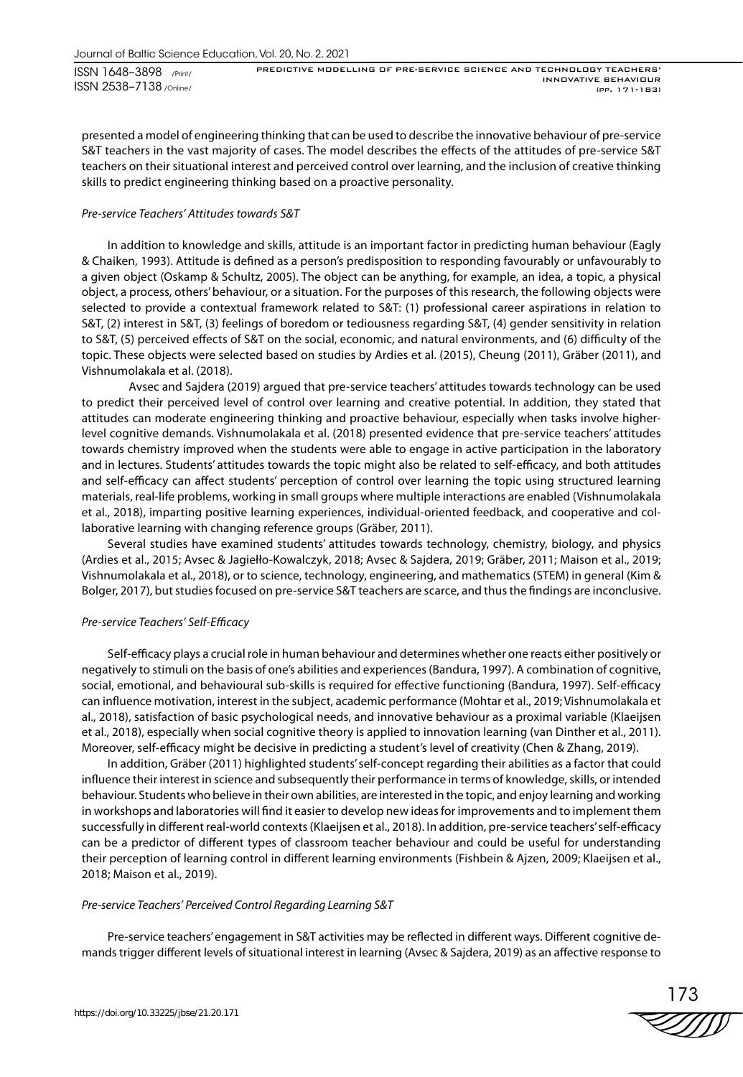presented a model of engineering thinking that can be used to describe the innovative behaviour of pre-service S&T teachers in the vast majority of cases. The model describes the effects of the attitudes of pre-service S&T teachers on their situational interest and perceived control over learning, and the inclusion of creative thinking skills to predict engineering thinking based on a proactive personality.

#### *Pre-service Teachers' Attitudes towards S&T*

In addition to knowledge and skills, attitude is an important factor in predicting human behaviour (Eagly & Chaiken, 1993). Attitude is defined as a person's predisposition to responding favourably or unfavourably to a given object (Oskamp & Schultz, 2005). The object can be anything, for example, an idea, a topic, a physical object, a process, others' behaviour, or a situation. For the purposes of this research, the following objects were selected to provide a contextual framework related to S&T: (1) professional career aspirations in relation to S&T, (2) interest in S&T, (3) feelings of boredom or tediousness regarding S&T, (4) gender sensitivity in relation to S&T, (5) perceived effects of S&T on the social, economic, and natural environments, and (6) difficulty of the topic. These objects were selected based on studies by Ardies et al. (2015), Cheung (2011), Gräber (2011), and Vishnumolakala et al. (2018).

Avsec and Sajdera (2019) argued that pre-service teachers' attitudes towards technology can be used to predict their perceived level of control over learning and creative potential. In addition, they stated that attitudes can moderate engineering thinking and proactive behaviour, especially when tasks involve higherlevel cognitive demands. Vishnumolakala et al. (2018) presented evidence that pre-service teachers' attitudes towards chemistry improved when the students were able to engage in active participation in the laboratory and in lectures. Students' attitudes towards the topic might also be related to self-efficacy, and both attitudes and self-efficacy can affect students' perception of control over learning the topic using structured learning materials, real-life problems, working in small groups where multiple interactions are enabled (Vishnumolakala et al., 2018), imparting positive learning experiences, individual-oriented feedback, and cooperative and collaborative learning with changing reference groups (Gräber, 2011).

Several studies have examined students' attitudes towards technology, chemistry, biology, and physics (Ardies et al., 2015; Avsec & Jagiełło-Kowalczyk, 2018; Avsec & Sajdera, 2019; Gräber, 2011; Maison et al., 2019; Vishnumolakala et al., 2018), or to science, technology, engineering, and mathematics (STEM) in general (Kim & Bolger, 2017), but studies focused on pre-service S&T teachers are scarce, and thus the findings are inconclusive.

#### *Pre-service Teachers' Self-Efficacy*

Self-efficacy plays a crucial role in human behaviour and determines whether one reacts either positively or negatively to stimuli on the basis of one's abilities and experiences (Bandura, 1997). A combination of cognitive, social, emotional, and behavioural sub-skills is required for effective functioning (Bandura, 1997). Self-efficacy can influence motivation, interest in the subject, academic performance (Mohtar et al., 2019; Vishnumolakala et al., 2018), satisfaction of basic psychological needs, and innovative behaviour as a proximal variable (Klaeijsen et al., 2018), especially when social cognitive theory is applied to innovation learning (van Dinther et al., 2011). Moreover, self-efficacy might be decisive in predicting a student's level of creativity (Chen & Zhang, 2019).

In addition, Gräber (2011) highlighted students' self-concept regarding their abilities as a factor that could influence their interest in science and subsequently their performance in terms of knowledge, skills, or intended behaviour. Students who believe in their own abilities, are interested in the topic, and enjoy learning and working in workshops and laboratories will find it easier to develop new ideas for improvements and to implement them successfully in different real-world contexts (Klaeijsen et al., 2018). In addition, pre-service teachers' self-efficacy can be a predictor of different types of classroom teacher behaviour and could be useful for understanding their perception of learning control in different learning environments (Fishbein & Ajzen, 2009; Klaeijsen et al., 2018; Maison et al., 2019).

#### *Pre-service Teachers' Perceived Control Regarding Learning S&T*

Pre-service teachers' engagement in S&T activities may be reflected in different ways. Different cognitive demands trigger different levels of situational interest in learning (Avsec & Sajdera, 2019) as an affective response to

173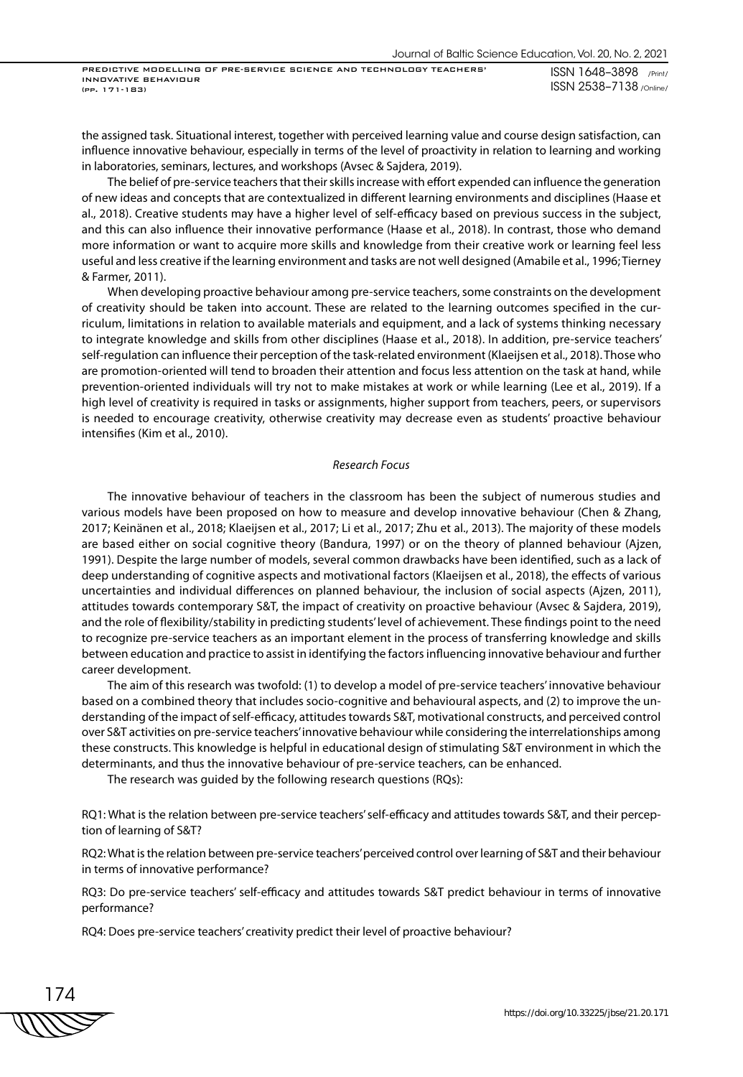the assigned task. Situational interest, together with perceived learning value and course design satisfaction, can influence innovative behaviour, especially in terms of the level of proactivity in relation to learning and working in laboratories, seminars, lectures, and workshops (Avsec & Sajdera, 2019).

The belief of pre-service teachers that their skills increase with effort expended can influence the generation of new ideas and concepts that are contextualized in different learning environments and disciplines (Haase et al., 2018). Creative students may have a higher level of self-efficacy based on previous success in the subject, and this can also influence their innovative performance (Haase et al., 2018). In contrast, those who demand more information or want to acquire more skills and knowledge from their creative work or learning feel less useful and less creative if the learning environment and tasks are not well designed (Amabile et al., 1996; Tierney & Farmer, 2011).

When developing proactive behaviour among pre-service teachers, some constraints on the development of creativity should be taken into account. These are related to the learning outcomes specified in the curriculum, limitations in relation to available materials and equipment, and a lack of systems thinking necessary to integrate knowledge and skills from other disciplines (Haase et al., 2018). In addition, pre-service teachers' self-regulation can influence their perception of the task-related environment (Klaeijsen et al., 2018). Those who are promotion-oriented will tend to broaden their attention and focus less attention on the task at hand, while prevention-oriented individuals will try not to make mistakes at work or while learning (Lee et al., 2019). If a high level of creativity is required in tasks or assignments, higher support from teachers, peers, or supervisors is needed to encourage creativity, otherwise creativity may decrease even as students' proactive behaviour intensifies (Kim et al., 2010).

#### *Research Focus*

The innovative behaviour of teachers in the classroom has been the subject of numerous studies and various models have been proposed on how to measure and develop innovative behaviour (Chen & Zhang, 2017; Keinänen et al., 2018; Klaeijsen et al., 2017; Li et al., 2017; Zhu et al., 2013). The majority of these models are based either on social cognitive theory (Bandura, 1997) or on the theory of planned behaviour (Ajzen, 1991). Despite the large number of models, several common drawbacks have been identified, such as a lack of deep understanding of cognitive aspects and motivational factors (Klaeijsen et al., 2018), the effects of various uncertainties and individual differences on planned behaviour, the inclusion of social aspects (Ajzen, 2011), attitudes towards contemporary S&T, the impact of creativity on proactive behaviour (Avsec & Sajdera, 2019), and the role of flexibility/stability in predicting students' level of achievement. These findings point to the need to recognize pre-service teachers as an important element in the process of transferring knowledge and skills between education and practice to assist in identifying the factors influencing innovative behaviour and further career development.

The aim of this research was twofold: (1) to develop a model of pre-service teachers' innovative behaviour based on a combined theory that includes socio-cognitive and behavioural aspects, and (2) to improve the understanding of the impact of self-efficacy, attitudes towards S&T, motivational constructs, and perceived control over S&T activities on pre-service teachers' innovative behaviour while considering the interrelationships among these constructs. This knowledge is helpful in educational design of stimulating S&T environment in which the determinants, and thus the innovative behaviour of pre-service teachers, can be enhanced.

The research was guided by the following research questions (RQs):

RQ1: What is the relation between pre-service teachers' self-efficacy and attitudes towards S&T, and their perception of learning of S&T?

RQ2: What is the relation between pre-service teachers' perceived control over learning of S&T and their behaviour in terms of innovative performance?

RQ3: Do pre-service teachers' self-efficacy and attitudes towards S&T predict behaviour in terms of innovative performance?

RQ4: Does pre-service teachers' creativity predict their level of proactive behaviour?

174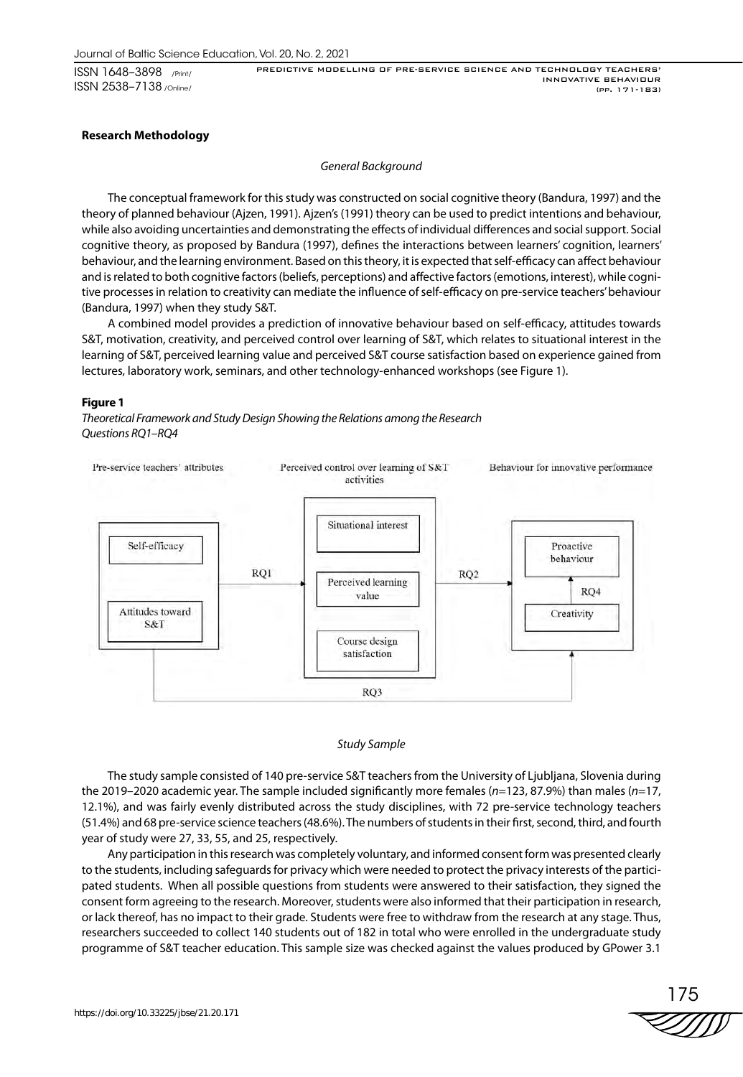ISSN 1648–3898 /Print/ ISSN 2538–7138 /Online/

PREDICTIVE MODELLING OF PRE-SERVICE SCIENCE AND TECHNOLOGY TEACHERS' INNOVATIVE BEHAVIOUR (pp. 171-183)

#### **Research Methodology**

#### *General Background*

The conceptual framework for this study was constructed on social cognitive theory (Bandura, 1997) and the theory of planned behaviour (Ajzen, 1991). Ajzen's (1991) theory can be used to predict intentions and behaviour, while also avoiding uncertainties and demonstrating the effects of individual differences and social support. Social cognitive theory, as proposed by Bandura (1997), defines the interactions between learners' cognition, learners' behaviour, and the learning environment. Based on this theory, it is expected that self-efficacy can affect behaviour and is related to both cognitive factors (beliefs, perceptions) and affective factors (emotions, interest), while cognitive processes in relation to creativity can mediate the influence of self-efficacy on pre-service teachers' behaviour (Bandura, 1997) when they study S&T.

A combined model provides a prediction of innovative behaviour based on self-efficacy, attitudes towards S&T, motivation, creativity, and perceived control over learning of S&T, which relates to situational interest in the learning of S&T, perceived learning value and perceived S&T course satisfaction based on experience gained from lectures, laboratory work, seminars, and other technology-enhanced workshops (see Figure 1).

#### **Figure 1**

*Theoretical Framework and Study Design Showing the Relations among the Research Questions RQ1–RQ4*



#### *Study Sample*

The study sample consisted of 140 pre-service S&T teachers from the University of Ljubljana, Slovenia during the 2019–2020 academic year. The sample included significantly more females (*n*=123, 87.9%) than males (*n*=17, 12.1%), and was fairly evenly distributed across the study disciplines, with 72 pre-service technology teachers (51.4%) and 68 pre-service science teachers (48.6%). The numbers of students in their first, second, third, and fourth year of study were 27, 33, 55, and 25, respectively.

Any participation in this research was completely voluntary, and informed consent form was presented clearly to the students, including safeguards for privacy which were needed to protect the privacy interests of the participated students. When all possible questions from students were answered to their satisfaction, they signed the consent form agreeing to the research. Moreover, students were also informed that their participation in research, or lack thereof, has no impact to their grade. Students were free to withdraw from the research at any stage. Thus, researchers succeeded to collect 140 students out of 182 in total who were enrolled in the undergraduate study programme of S&T teacher education. This sample size was checked against the values produced by GPower 3.1

175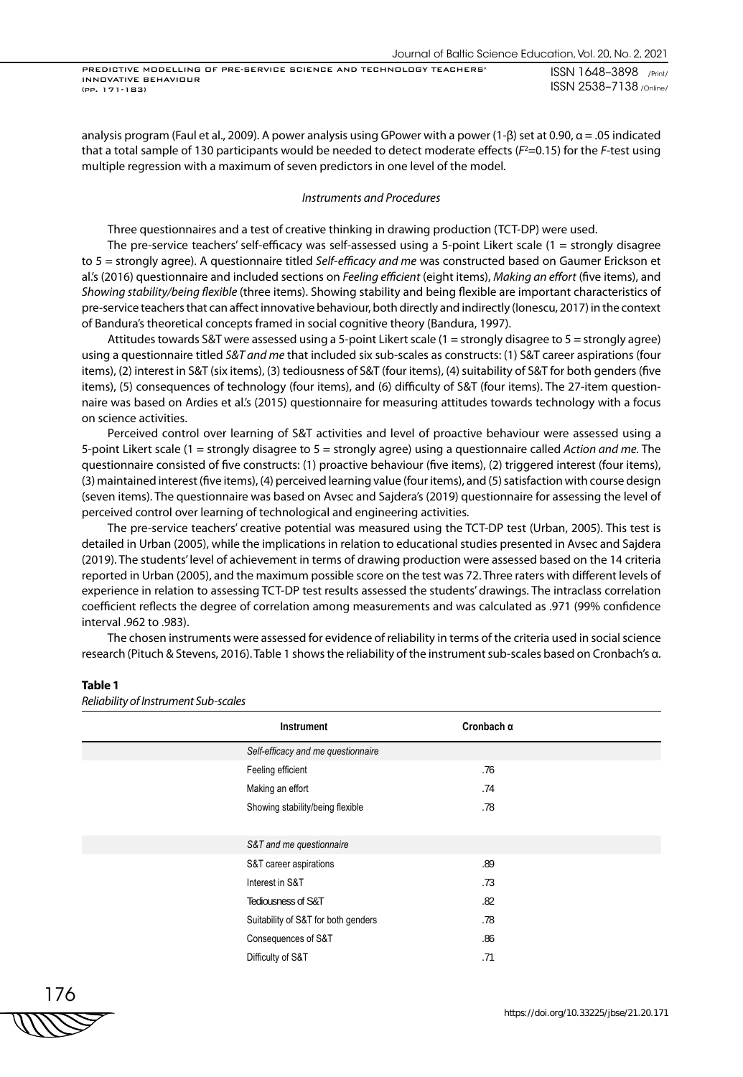analysis program (Faul et al., 2009). A power analysis using GPower with a power (1-β) set at 0.90,  $\alpha$  = .05 indicated that a total sample of 130 participants would be needed to detect moderate effects (*F<sup>2</sup>=*0.15) for the *F-*test using multiple regression with a maximum of seven predictors in one level of the model.

#### *Instruments and Procedures*

Three questionnaires and a test of creative thinking in drawing production (TCT-DP) were used.

The pre-service teachers' self-efficacy was self-assessed using a 5-point Likert scale (1 = strongly disagree to 5 = strongly agree). A questionnaire titled *Self-efficacy and me* was constructed based on Gaumer Erickson et al.'s (2016) questionnaire and included sections on *Feeling efficient* (eight items), *Making an effort* (five items), and *Showing stability/being flexible* (three items). Showing stability and being flexible are important characteristics of pre-service teachers that can affect innovative behaviour, both directly and indirectly (Ionescu, 2017) in the context of Bandura's theoretical concepts framed in social cognitive theory (Bandura, 1997).

Attitudes towards S&T were assessed using a 5-point Likert scale (1 = strongly disagree to 5 = strongly agree) using a questionnaire titled *S&T and me* that included six sub-scales as constructs: (1) S&T career aspirations (four items), (2) interest in S&T (six items), (3) tediousness of S&T (four items), (4) suitability of S&T for both genders (five items), (5) consequences of technology (four items), and (6) difficulty of S&T (four items). The 27-item questionnaire was based on Ardies et al.'s (2015) questionnaire for measuring attitudes towards technology with a focus on science activities.

Perceived control over learning of S&T activities and level of proactive behaviour were assessed using a 5-point Likert scale (1 = strongly disagree to 5 = strongly agree) using a questionnaire called *Action and me.* The questionnaire consisted of five constructs: (1) proactive behaviour (five items), (2) triggered interest (four items), (3) maintained interest (five items), (4) perceived learning value (four items), and (5) satisfaction with course design (seven items). The questionnaire was based on Avsec and Sajdera's (2019) questionnaire for assessing the level of perceived control over learning of technological and engineering activities.

The pre-service teachers' creative potential was measured using the TCT-DP test (Urban, 2005). This test is detailed in Urban (2005), while the implications in relation to educational studies presented in Avsec and Sajdera (2019). The students' level of achievement in terms of drawing production were assessed based on the 14 criteria reported in Urban (2005), and the maximum possible score on the test was 72. Three raters with different levels of experience in relation to assessing TCT-DP test results assessed the students' drawings. The intraclass correlation coefficient reflects the degree of correlation among measurements and was calculated as .971 (99% confidence interval .962 to .983).

The chosen instruments were assessed for evidence of reliability in terms of the criteria used in social science research (Pituch & Stevens, 2016). Table 1 shows the reliability of the instrument sub-scales based on Cronbach's α.

#### **Table 1**

*Reliability of Instrument Sub-scales*

| Instrument                          | Cronbach $\alpha$ |  |
|-------------------------------------|-------------------|--|
| Self-efficacy and me questionnaire  |                   |  |
| Feeling efficient                   | .76               |  |
| Making an effort                    | .74               |  |
| Showing stability/being flexible    | .78               |  |
|                                     |                   |  |
| S&T and me questionnaire            |                   |  |
| S&T career aspirations              | .89               |  |
| Interest in S&T                     | .73               |  |
| Tediousness of S&T                  | .82               |  |
| Suitability of S&T for both genders | .78               |  |
| Consequences of S&T                 | .86               |  |
| Difficulty of S&T                   | .71               |  |

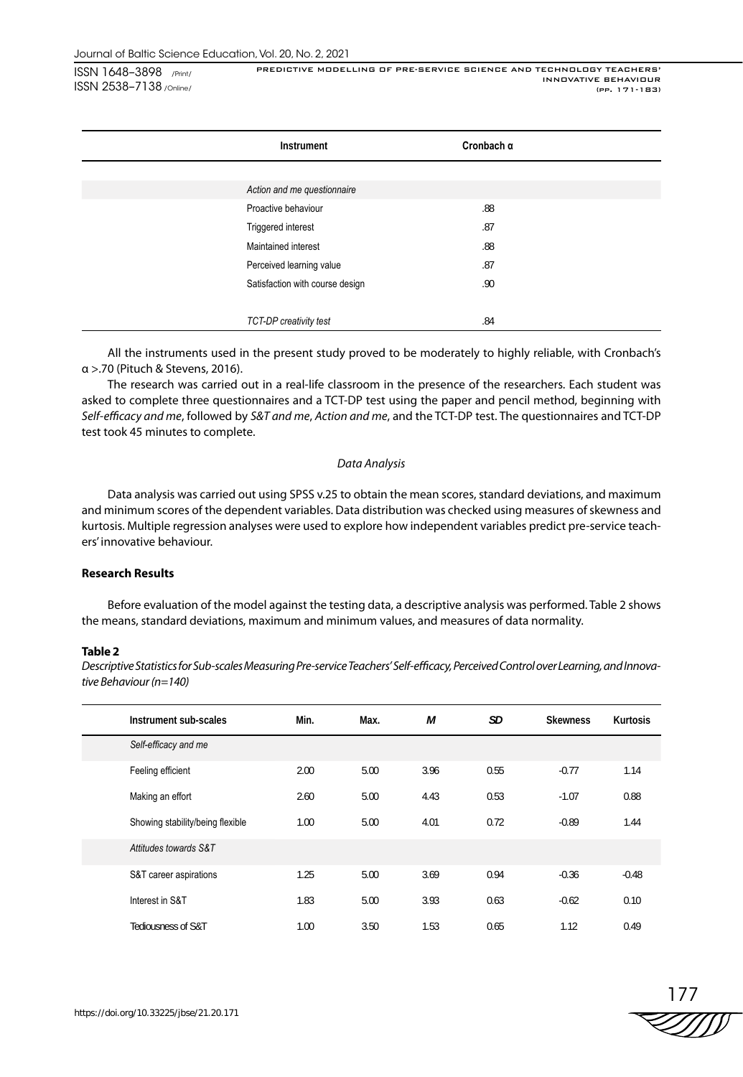| Instrument                      | Cronbach $\alpha$ |
|---------------------------------|-------------------|
|                                 |                   |
| Action and me questionnaire     |                   |
| Proactive behaviour             | .88               |
| Triggered interest              | .87               |
| Maintained interest             | .88               |
| Perceived learning value        | .87               |
| Satisfaction with course design | .90               |
|                                 |                   |
| TCT-DP creativity test          | .84               |

All the instruments used in the present study proved to be moderately to highly reliable, with Cronbach's α >.70 (Pituch & Stevens, 2016).

The research was carried out in a real-life classroom in the presence of the researchers. Each student was asked to complete three questionnaires and a TCT-DP test using the paper and pencil method, beginning with *Self-efficacy and me*, followed by *S&T and me*, *Action and me*, and the TCT-DP test. The questionnaires and TCT-DP test took 45 minutes to complete.

#### *Data Analysis*

Data analysis was carried out using SPSS v.25 to obtain the mean scores, standard deviations, and maximum and minimum scores of the dependent variables. Data distribution was checked using measures of skewness and kurtosis. Multiple regression analyses were used to explore how independent variables predict pre-service teachers' innovative behaviour.

## **Research Results**

Before evaluation of the model against the testing data, a descriptive analysis was performed. Table 2 shows the means, standard deviations, maximum and minimum values, and measures of data normality.

#### **Table 2**

*Descriptive Statistics for Sub-scales Measuring Pre-service Teachers' Self-efficacy, Perceived Control over Learning, and Innovative Behaviour (n=140)*

| Instrument sub-scales            | Min. | Max. | М    | SD   | <b>Skewness</b> | Kurtosis |
|----------------------------------|------|------|------|------|-----------------|----------|
| Self-efficacy and me             |      |      |      |      |                 |          |
| Feeling efficient                | 2.00 | 5.00 | 3.96 | 0.55 | $-0.77$         | 1.14     |
| Making an effort                 | 2.60 | 5.00 | 4.43 | 0.53 | $-1.07$         | 0.88     |
| Showing stability/being flexible | 1.00 | 5.00 | 4.01 | 0.72 | $-0.89$         | 1.44     |
| Attitudes towards S&T            |      |      |      |      |                 |          |
| S&T career aspirations           | 1.25 | 5.00 | 3.69 | 0.94 | $-0.36$         | $-0.48$  |
| Interest in S&T                  | 1.83 | 5.00 | 3.93 | 0.63 | $-0.62$         | 0.10     |
| Tediousness of S&T               | 1.00 | 3.50 | 1.53 | 0.65 | 1.12            | 0.49     |

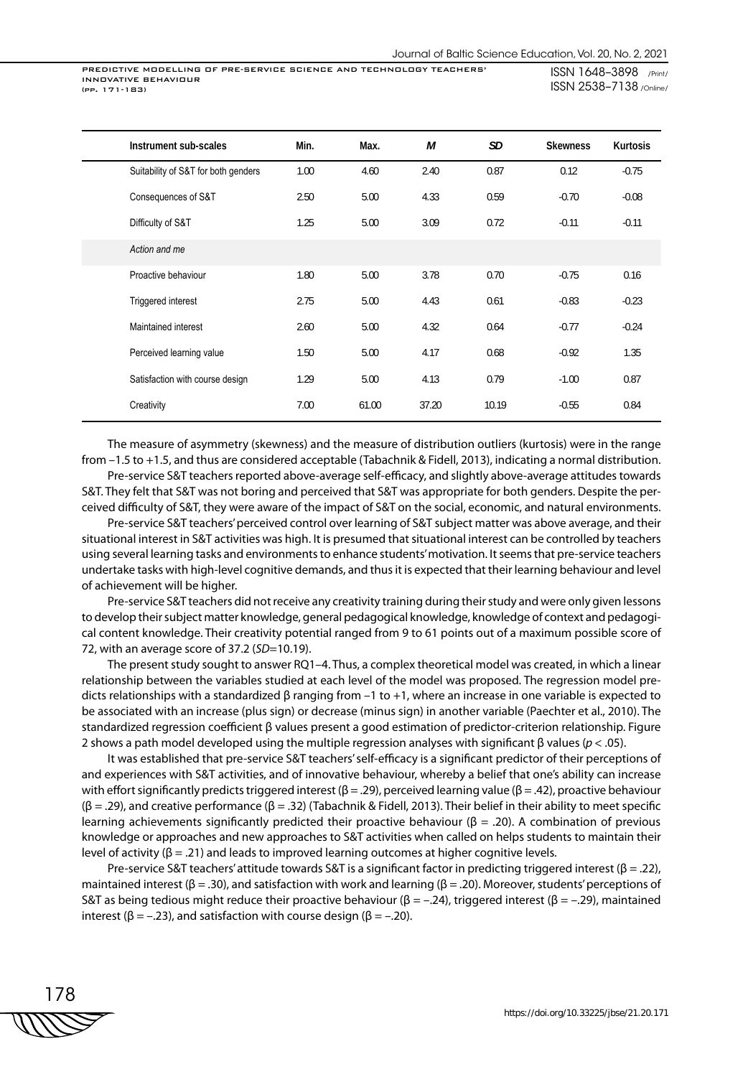PREDICTIVE MODELLING OF PRE-SERVICE SCIENCE AND TECHNOLOGY TEACHERS' INNOVATIVE BEHAVIOUR (pp. 171-183)

ISSN 1648–3898 /Print/ ISSN 2538–7138 /Online/

| Instrument sub-scales               | Min. | Max.  | М     | SD    | <b>Skewness</b> | <b>Kurtosis</b> |
|-------------------------------------|------|-------|-------|-------|-----------------|-----------------|
| Suitability of S&T for both genders | 1.00 | 4.60  | 2.40  | 0.87  | 0.12            | $-0.75$         |
| Consequences of S&T                 | 2.50 | 5.00  | 4.33  | 0.59  | $-0.70$         | $-0.08$         |
| Difficulty of S&T                   | 1.25 | 5.00  | 3.09  | 0.72  | $-0.11$         | $-0.11$         |
| Action and me                       |      |       |       |       |                 |                 |
| Proactive behaviour                 | 1.80 | 5.00  | 3.78  | 0.70  | $-0.75$         | 0.16            |
| Triggered interest                  | 2.75 | 5.00  | 4.43  | 0.61  | $-0.83$         | $-0.23$         |
| Maintained interest                 | 2.60 | 5.00  | 4.32  | 0.64  | $-0.77$         | $-0.24$         |
| Perceived learning value            | 1.50 | 5.00  | 4.17  | 0.68  | $-0.92$         | 1.35            |
| Satisfaction with course design     | 1.29 | 5.00  | 4.13  | 0.79  | $-1.00$         | 0.87            |
| Creativity                          | 7.00 | 61.00 | 37.20 | 10.19 | $-0.55$         | 0.84            |

The measure of asymmetry (skewness) and the measure of distribution outliers (kurtosis) were in the range from –1.5 to +1.5, and thus are considered acceptable (Tabachnik & Fidell, 2013), indicating a normal distribution.

Pre-service S&T teachers reported above-average self-efficacy, and slightly above-average attitudes towards S&T. They felt that S&T was not boring and perceived that S&T was appropriate for both genders. Despite the perceived difficulty of S&T, they were aware of the impact of S&T on the social, economic, and natural environments.

Pre-service S&T teachers' perceived control over learning of S&T subject matter was above average, and their situational interest in S&T activities was high. It is presumed that situational interest can be controlled by teachers using several learning tasks and environments to enhance students' motivation. It seems that pre-service teachers undertake tasks with high-level cognitive demands, and thus it is expected that their learning behaviour and level of achievement will be higher.

Pre-service S&T teachers did not receive any creativity training during their study and were only given lessons to develop their subject matter knowledge, general pedagogical knowledge, knowledge of context and pedagogical content knowledge. Their creativity potential ranged from 9 to 61 points out of a maximum possible score of 72, with an average score of 37.2 (*SD*=10.19).

The present study sought to answer RQ1–4. Thus, a complex theoretical model was created, in which a linear relationship between the variables studied at each level of the model was proposed. The regression model predicts relationships with a standardized β ranging from –1 to +1, where an increase in one variable is expected to be associated with an increase (plus sign) or decrease (minus sign) in another variable (Paechter et al., 2010). The standardized regression coefficient β values present a good estimation of predictor-criterion relationship. Figure 2 shows a path model developed using the multiple regression analyses with significant β values (*p* < .05).

It was established that pre-service S&T teachers' self-efficacy is a significant predictor of their perceptions of and experiences with S&T activities, and of innovative behaviour, whereby a belief that one's ability can increase with effort significantly predicts triggered interest ( $\beta = .29$ ), perceived learning value ( $\beta = .42$ ), proactive behaviour  $(β = .29)$ , and creative performance  $(β = .32)$  (Tabachnik & Fidell, 2013). Their belief in their ability to meet specific learning achievements significantly predicted their proactive behaviour (β = .20). A combination of previous knowledge or approaches and new approaches to S&T activities when called on helps students to maintain their level of activity (β = .21) and leads to improved learning outcomes at higher cognitive levels.

Pre-service S&T teachers' attitude towards S&T is a significant factor in predicting triggered interest (β = .22), maintained interest ( $\beta$  = .30), and satisfaction with work and learning ( $\beta$  = .20). Moreover, students' perceptions of S&T as being tedious might reduce their proactive behaviour (β = -.24), triggered interest (β = -.29), maintained interest ( $\beta = -.23$ ), and satisfaction with course design ( $\beta = -.20$ ).

$$
\begin{array}{c}\n 178 \\
\hline\n \text{WWW} \n \end{array}
$$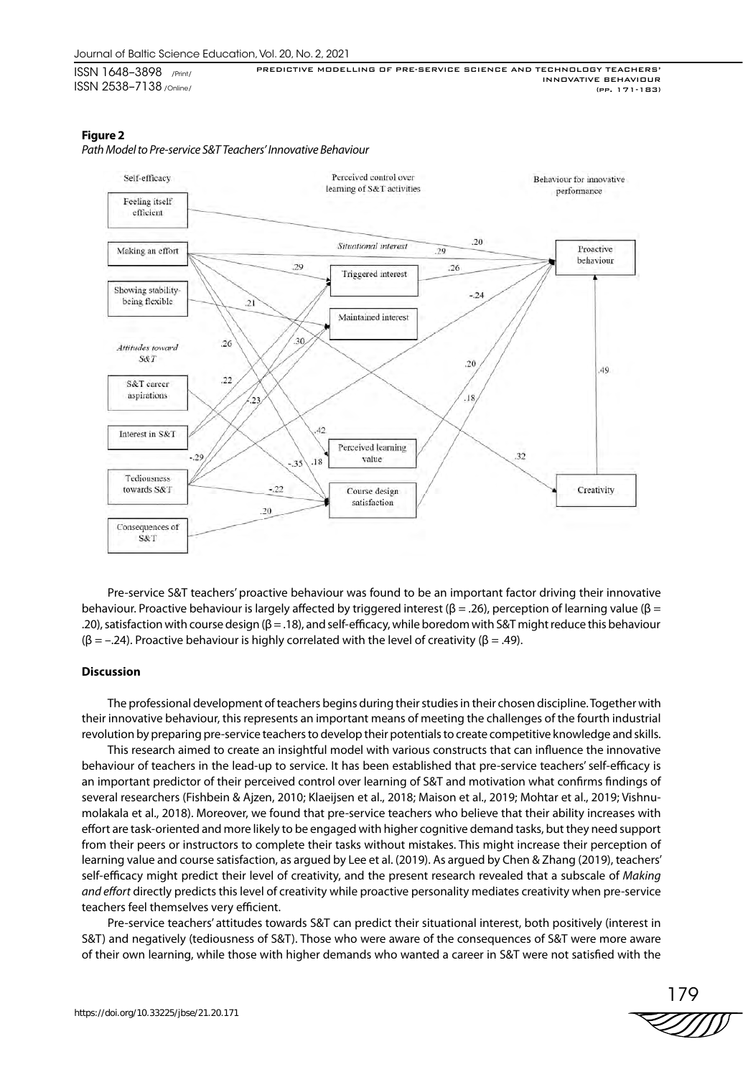### **Figure 2**





Pre-service S&T teachers' proactive behaviour was found to be an important factor driving their innovative behaviour. Proactive behaviour is largely affected by triggered interest ( $\beta = .26$ ), perception of learning value ( $\beta =$ .20), satisfaction with course design (β = .18), and self-efficacy, while boredom with S&T might reduce this behaviour ( $\beta$  = -.24). Proactive behaviour is highly correlated with the level of creativity ( $\beta$  = .49).

#### **Discussion**

The professional development of teachers begins during their studies in their chosen discipline. Together with their innovative behaviour, this represents an important means of meeting the challenges of the fourth industrial revolution by preparing pre-service teachers to develop their potentials to create competitive knowledge and skills.

This research aimed to create an insightful model with various constructs that can influence the innovative behaviour of teachers in the lead-up to service. It has been established that pre-service teachers' self-efficacy is an important predictor of their perceived control over learning of S&T and motivation what confirms findings of several researchers (Fishbein & Ajzen, 2010; Klaeijsen et al., 2018; Maison et al., 2019; Mohtar et al., 2019; Vishnumolakala et al., 2018). Moreover, we found that pre-service teachers who believe that their ability increases with effort are task-oriented and more likely to be engaged with higher cognitive demand tasks, but they need support from their peers or instructors to complete their tasks without mistakes. This might increase their perception of learning value and course satisfaction, as argued by Lee et al. (2019). As argued by Chen & Zhang (2019), teachers' self-efficacy might predict their level of creativity, and the present research revealed that a subscale of *Making and effort* directly predicts this level of creativity while proactive personality mediates creativity when pre-service teachers feel themselves very efficient.

Pre-service teachers' attitudes towards S&T can predict their situational interest, both positively (interest in S&T) and negatively (tediousness of S&T). Those who were aware of the consequences of S&T were more aware of their own learning, while those with higher demands who wanted a career in S&T were not satisfied with the

179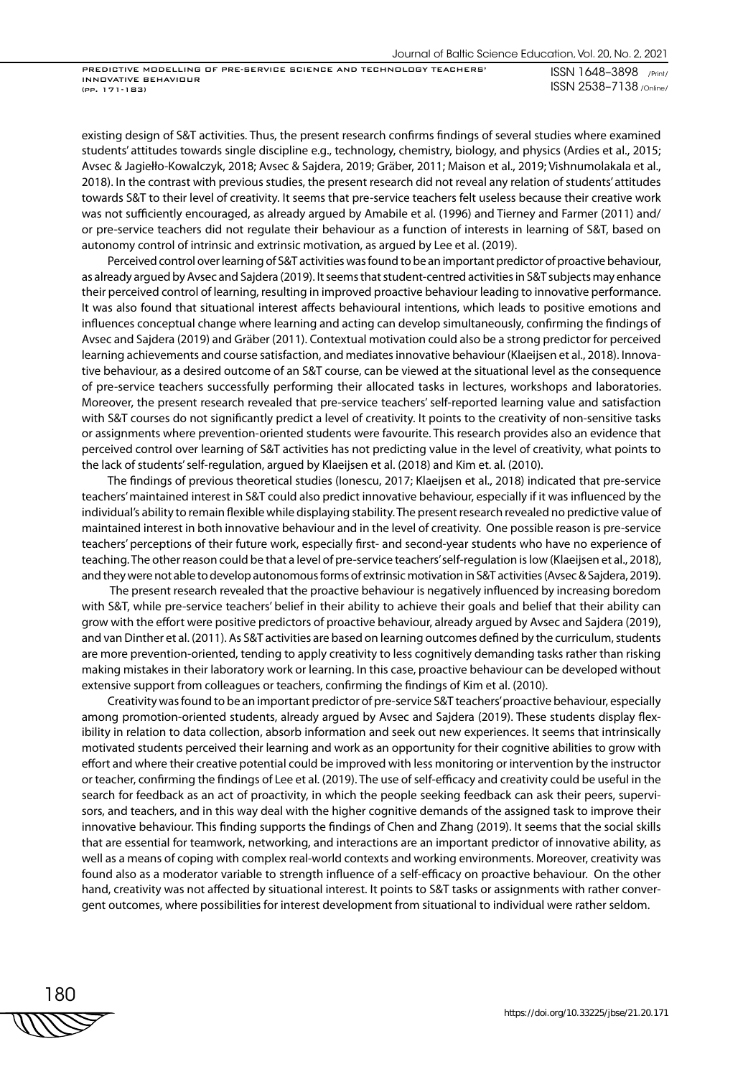PREDICTIVE MODELLING OF PRE-SERVICE SCIENCE AND TECHNOLOGY TEACHERS' INNOVATIVE BEHAVIOUR (pp. 171-183)

ISSN 1648–3898 /Print/ ISSN 2538–7138 /Online/

existing design of S&T activities. Thus, the present research confirms findings of several studies where examined students' attitudes towards single discipline e.g., technology, chemistry, biology, and physics (Ardies et al., 2015; Avsec & Jagiełło-Kowalczyk, 2018; Avsec & Sajdera, 2019; Gräber, 2011; Maison et al., 2019; Vishnumolakala et al., 2018). In the contrast with previous studies, the present research did not reveal any relation of students' attitudes towards S&T to their level of creativity. It seems that pre-service teachers felt useless because their creative work was not sufficiently encouraged, as already argued by Amabile et al. (1996) and Tierney and Farmer (2011) and/ or pre-service teachers did not regulate their behaviour as a function of interests in learning of S&T, based on autonomy control of intrinsic and extrinsic motivation, as argued by Lee et al. (2019).

Perceived control over learning of S&T activities was found to be an important predictor of proactive behaviour, as already argued by Avsec and Sajdera (2019). It seems that student-centred activities in S&T subjects may enhance their perceived control of learning, resulting in improved proactive behaviour leading to innovative performance. It was also found that situational interest affects behavioural intentions, which leads to positive emotions and influences conceptual change where learning and acting can develop simultaneously, confirming the findings of Avsec and Sajdera (2019) and Gräber (2011). Contextual motivation could also be a strong predictor for perceived learning achievements and course satisfaction, and mediates innovative behaviour (Klaeijsen et al., 2018). Innovative behaviour, as a desired outcome of an S&T course, can be viewed at the situational level as the consequence of pre-service teachers successfully performing their allocated tasks in lectures, workshops and laboratories. Moreover, the present research revealed that pre-service teachers' self-reported learning value and satisfaction with S&T courses do not significantly predict a level of creativity. It points to the creativity of non-sensitive tasks or assignments where prevention-oriented students were favourite. This research provides also an evidence that perceived control over learning of S&T activities has not predicting value in the level of creativity, what points to the lack of students' self-regulation, argued by Klaeijsen et al. (2018) and Kim et. al. (2010).

The findings of previous theoretical studies (Ionescu, 2017; Klaeijsen et al., 2018) indicated that pre-service teachers' maintained interest in S&T could also predict innovative behaviour, especially if it was influenced by the individual's ability to remain flexible while displaying stability. The present research revealed no predictive value of maintained interest in both innovative behaviour and in the level of creativity. One possible reason is pre-service teachers' perceptions of their future work, especially first- and second-year students who have no experience of teaching. The other reason could be that a level of pre-service teachers' self-regulation is low (Klaeijsen et al., 2018), and they were not able to develop autonomous forms of extrinsic motivation in S&T activities (Avsec & Sajdera, 2019).

 The present research revealed that the proactive behaviour is negatively influenced by increasing boredom with S&T, while pre-service teachers' belief in their ability to achieve their goals and belief that their ability can grow with the effort were positive predictors of proactive behaviour, already argued by Avsec and Sajdera (2019), and van Dinther et al. (2011). As S&T activities are based on learning outcomes defined by the curriculum, students are more prevention-oriented, tending to apply creativity to less cognitively demanding tasks rather than risking making mistakes in their laboratory work or learning. In this case, proactive behaviour can be developed without extensive support from colleagues or teachers, confirming the findings of Kim et al. (2010).

Creativity was found to be an important predictor of pre-service S&T teachers' proactive behaviour, especially among promotion-oriented students, already argued by Avsec and Sajdera (2019). These students display flexibility in relation to data collection, absorb information and seek out new experiences. It seems that intrinsically motivated students perceived their learning and work as an opportunity for their cognitive abilities to grow with effort and where their creative potential could be improved with less monitoring or intervention by the instructor or teacher, confirming the findings of Lee et al. (2019). The use of self-efficacy and creativity could be useful in the search for feedback as an act of proactivity, in which the people seeking feedback can ask their peers, supervisors, and teachers, and in this way deal with the higher cognitive demands of the assigned task to improve their innovative behaviour. This finding supports the findings of Chen and Zhang (2019). It seems that the social skills that are essential for teamwork, networking, and interactions are an important predictor of innovative ability, as well as a means of coping with complex real-world contexts and working environments. Moreover, creativity was found also as a moderator variable to strength influence of a self-efficacy on proactive behaviour. On the other hand, creativity was not affected by situational interest. It points to S&T tasks or assignments with rather convergent outcomes, where possibilities for interest development from situational to individual were rather seldom.

180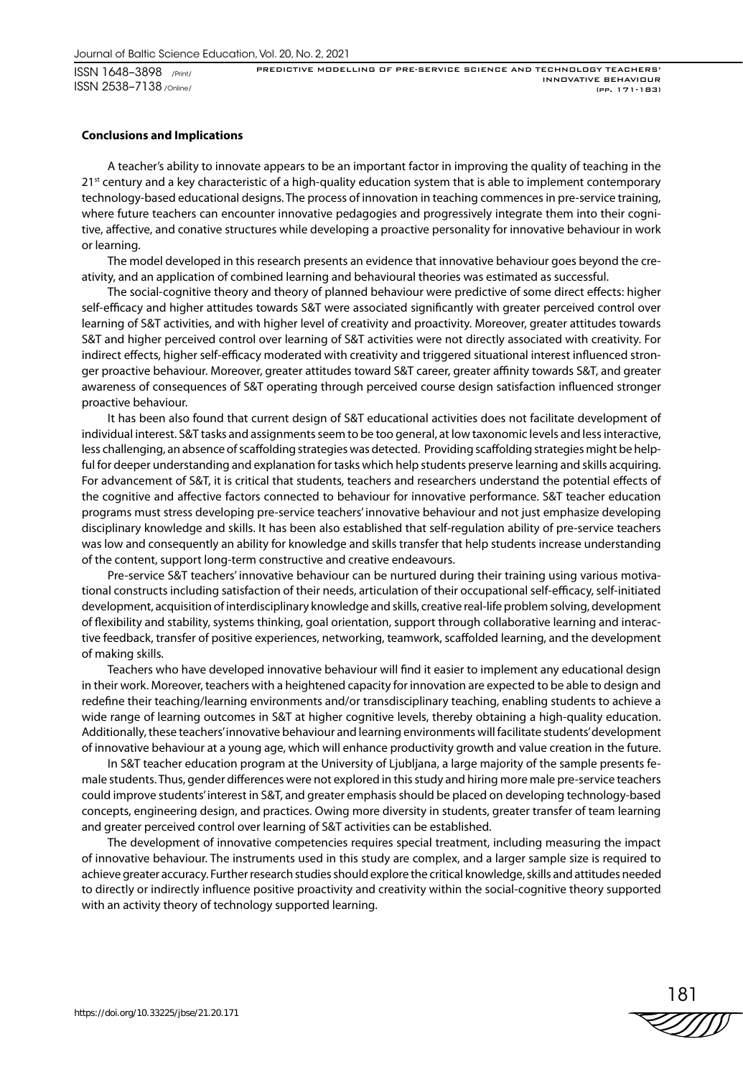ISSN 1648–3898 /Print/ ISSN 2538–7138 /Online/

#### **Conclusions and Implications**

A teacher's ability to innovate appears to be an important factor in improving the quality of teaching in the  $21<sup>st</sup>$  century and a key characteristic of a high-quality education system that is able to implement contemporary technology-based educational designs. The process of innovation in teaching commences in pre-service training, where future teachers can encounter innovative pedagogies and progressively integrate them into their cognitive, affective, and conative structures while developing a proactive personality for innovative behaviour in work or learning.

The model developed in this research presents an evidence that innovative behaviour goes beyond the creativity, and an application of combined learning and behavioural theories was estimated as successful.

The social-cognitive theory and theory of planned behaviour were predictive of some direct effects: higher self-efficacy and higher attitudes towards S&T were associated significantly with greater perceived control over learning of S&T activities, and with higher level of creativity and proactivity. Moreover, greater attitudes towards S&T and higher perceived control over learning of S&T activities were not directly associated with creativity. For indirect effects, higher self-efficacy moderated with creativity and triggered situational interest influenced stronger proactive behaviour. Moreover, greater attitudes toward S&T career, greater affinity towards S&T, and greater awareness of consequences of S&T operating through perceived course design satisfaction influenced stronger proactive behaviour.

It has been also found that current design of S&T educational activities does not facilitate development of individual interest. S&T tasks and assignments seem to be too general, at low taxonomic levels and less interactive, less challenging, an absence of scaffolding strategies was detected. Providing scaffolding strategies might be helpful for deeper understanding and explanation for tasks which help students preserve learning and skills acquiring. For advancement of S&T, it is critical that students, teachers and researchers understand the potential effects of the cognitive and affective factors connected to behaviour for innovative performance. S&T teacher education programs must stress developing pre-service teachers' innovative behaviour and not just emphasize developing disciplinary knowledge and skills. It has been also established that self-regulation ability of pre-service teachers was low and consequently an ability for knowledge and skills transfer that help students increase understanding of the content, support long-term constructive and creative endeavours.

Pre-service S&T teachers' innovative behaviour can be nurtured during their training using various motivational constructs including satisfaction of their needs, articulation of their occupational self-efficacy, self-initiated development, acquisition of interdisciplinary knowledge and skills, creative real-life problem solving, development of flexibility and stability, systems thinking, goal orientation, support through collaborative learning and interactive feedback, transfer of positive experiences, networking, teamwork, scaffolded learning, and the development of making skills.

Teachers who have developed innovative behaviour will find it easier to implement any educational design in their work. Moreover, teachers with a heightened capacity for innovation are expected to be able to design and redefine their teaching/learning environments and/or transdisciplinary teaching, enabling students to achieve a wide range of learning outcomes in S&T at higher cognitive levels, thereby obtaining a high-quality education. Additionally, these teachers' innovative behaviour and learning environments will facilitate students' development of innovative behaviour at a young age, which will enhance productivity growth and value creation in the future.

In S&T teacher education program at the University of Ljubljana, a large majority of the sample presents female students. Thus, gender differences were not explored in this study and hiring more male pre-service teachers could improve students' interest in S&T, and greater emphasis should be placed on developing technology-based concepts, engineering design, and practices. Owing more diversity in students, greater transfer of team learning and greater perceived control over learning of S&T activities can be established.

The development of innovative competencies requires special treatment, including measuring the impact of innovative behaviour. The instruments used in this study are complex, and a larger sample size is required to achieve greater accuracy. Further research studies should explore the critical knowledge, skills and attitudes needed to directly or indirectly influence positive proactivity and creativity within the social-cognitive theory supported with an activity theory of technology supported learning.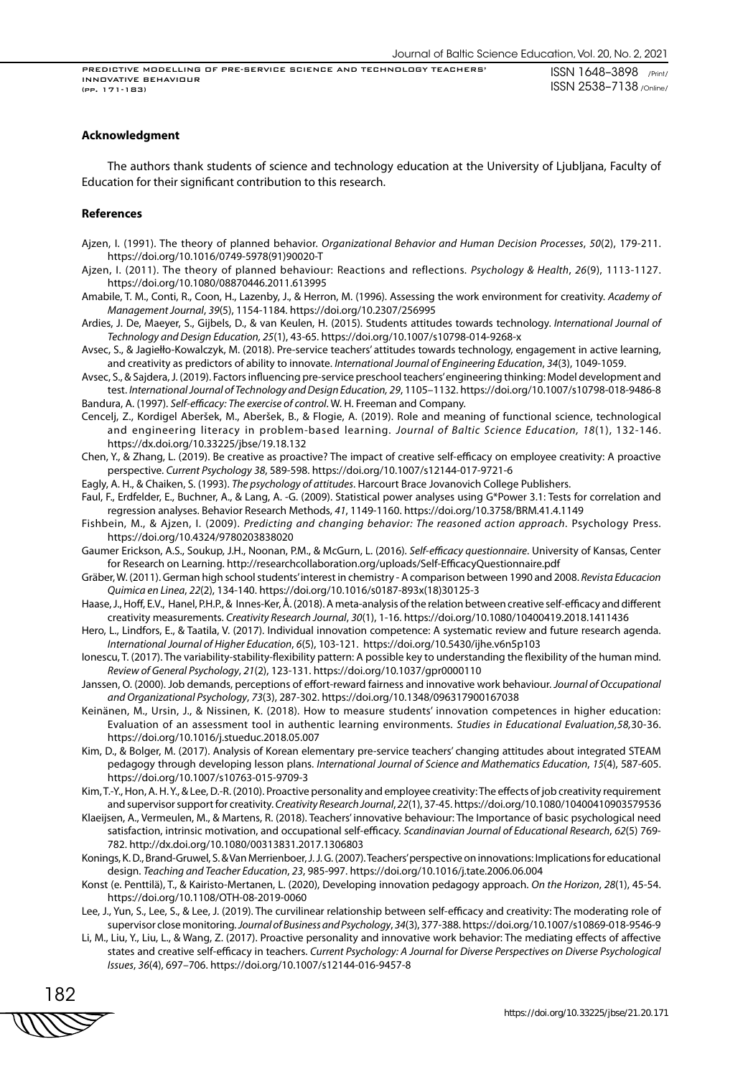PREDICTIVE MODELLING OF PRE-SERVICE SCIENCE AND TECHNOLOGY TEACHERS' INNOVATIVE BEHAVIOUR (pp. 171-183)

#### **Acknowledgment**

The authors thank students of science and technology education at the University of Ljubljana, Faculty of Education for their significant contribution to this research.

#### **References**

- Ajzen, I. (1991). The theory of planned behavior. *Organizational Behavior and Human Decision Processes*, *50*(2), 179-211. https://doi.org/10.1016/0749-5978(91)90020-T
- Ajzen, I. (2011). The theory of planned behaviour: Reactions and reflections. *Psychology & Health*, *26*(9), 1113-1127. https://doi.org/10.1080/08870446.2011.613995
- Amabile, T. M., Conti, R., Coon, H., Lazenby, J., & Herron, M. (1996). Assessing the work environment for creativity. *Academy of Management Journal*, *39*(5), 1154-1184. https://doi.org/10.2307/256995
- Ardies, J. De, Maeyer, S., Gijbels, D., & van Keulen, H. (2015). Students attitudes towards technology. *International Journal of Technology and Design Education, 25*(1), 43-65. https://doi.org/10.1007/s10798-014-9268-x
- Avsec, S., & Jagiełło-Kowalczyk, M. (2018). Pre-service teachers' attitudes towards technology, engagement in active learning, and creativity as predictors of ability to innovate. *International Journal of Engineering Education*, *34*(3), 1049-1059.
- Avsec, S., & Sajdera, J. (2019). Factors influencing pre-service preschool teachers' engineering thinking: Model development and test. *International Journal of Technology and Design Education, 29*, 1105–1132. https://doi.org/10.1007/s10798-018-9486-8 Bandura, A. (1997). *Self-efficacy: The exercise of control*. W. H. Freeman and Company.
- Cencelj, Z., Kordigel Aberšek, M., Aberšek, B., & Flogie, A. (2019). Role and meaning of functional science, technological and engineering literacy in problem-based learning. *Journal of Baltic Science Education, 18*(1), 132-146. https://dx.doi.org/10.33225/jbse/19.18.132
- Chen, Y., & Zhang, L. (2019). Be creative as proactive? The impact of creative self-efficacy on employee creativity: A proactive perspective. *Current Psychology 38*, 589-598. https://doi.org/10.1007/s12144-017-9721-6

Eagly, A. H., & Chaiken, S. (1993). *The psychology of attitudes*. Harcourt Brace Jovanovich College Publishers.

- Faul, F., Erdfelder, E., Buchner, A., & Lang, A. -G. (2009). Statistical power analyses using G\*Power 3.1: Tests for correlation and regression analyses. Behavior Research Methods, *41*, 1149-1160. https://doi.org/10.3758/BRM.41.4.1149
- Fishbein, M., & Ajzen, I. (2009). *Predicting and changing behavior: The reasoned action approach*. Psychology Press. https://doi.org/10.4324/9780203838020
- Gaumer Erickson, A.S., Soukup, J.H., Noonan, P.M., & McGurn, L. (2016). *Self-efficacy questionnaire*. University of Kansas, Center for Research on Learning. http://researchcollaboration.org/uploads/Self-EfficacyQuestionnaire.pdf
- Gräber, W. (2011). German high school students' interest in chemistry A comparison between 1990 and 2008. *Revista Educacion Quimica en Linea*, *22*(2), 134-140. https://doi.org/10.1016/s0187-893x(18)30125-3
- Haase, J., Hoff, E.V., Hanel, P.H.P., & Innes-Ker, Å. (2018). A meta-analysis of the relation between creative self-efficacy and different creativity measurements. *Creativity Research Journal*, *30*(1), 1-16. https://doi.org/10.1080/10400419.2018.1411436
- Hero, L., Lindfors, E., & Taatila, V. (2017). Individual innovation competence: A systematic review and future research agenda. *International Journal of Higher Education*, *6*(5), 103-121. https://doi.org/10.5430/ijhe.v6n5p103
- Ionescu, T. (2017). The variability-stability-flexibility pattern: A possible key to understanding the flexibility of the human mind. *Review of General Psychology*, *21*(2), 123-131. https://doi.org/10.1037/gpr0000110
- Janssen, O. (2000). Job demands, perceptions of effort-reward fairness and innovative work behaviour. *Journal of Occupational and Organizational Psychology*, *73*(3), 287-302. https://doi.org/10.1348/096317900167038
- Keinänen, M., Ursin, J., & Nissinen, K. (2018). How to measure students' innovation competences in higher education: Evaluation of an assessment tool in authentic learning environments. *Studies in Educational Evaluation,58,*30-36. https://doi.org/10.1016/j.stueduc.2018.05.007
- Kim, D., & Bolger, M. (2017). Analysis of Korean elementary pre-service teachers' changing attitudes about integrated STEAM pedagogy through developing lesson plans. *International Journal of Science and Mathematics Education*, *15*(4), 587-605. https://doi.org/10.1007/s10763-015-9709-3
- Kim, T.-Y., Hon, A. H. Y., & Lee, D.-R. (2010). Proactive personality and employee creativity: The effects of job creativity requirement and supervisor support for creativity. *Creativity Research Journal*, *22*(1), 37-45. https://doi.org/10.1080/10400410903579536
- Klaeijsen, A., Vermeulen, M., & Martens, R. (2018). Teachers' innovative behaviour: The Importance of basic psychological need satisfaction, intrinsic motivation, and occupational self-efficacy. *Scandinavian Journal of Educational Research*, *62*(5) 769- 782. http://dx.doi.org/10.1080/00313831.2017.1306803
- Konings, K. D., Brand-Gruwel, S. & Van Merrienboer, J. J. G. (2007). Teachers' perspective on innovations: Implications for educational design. *Teaching and Teacher Education*, *23*, 985-997. https://doi.org/10.1016/j.tate.2006.06.004
- Konst (e. Penttilä), T., & Kairisto-Mertanen, L. (2020), Developing innovation pedagogy approach. *On the Horizon*, *28*(1), 45-54. https://doi.org/10.1108/OTH-08-2019-0060
- Lee, J., Yun, S., Lee, S., & Lee, J. (2019). The curvilinear relationship between self-efficacy and creativity: The moderating role of supervisor close monitoring. *Journal of Business and Psychology*, *34*(3), 377-388. https://doi.org/10.1007/s10869-018-9546-9
- Li, M., Liu, Y., Liu, L., & Wang, Z. (2017). Proactive personality and innovative work behavior: The mediating effects of affective states and creative self-efficacy in teachers. *Current Psychology: A Journal for Diverse Perspectives on Diverse Psychological Issues*, *36*(4), 697–706. https://doi.org/10.1007/s12144-016-9457-8

182